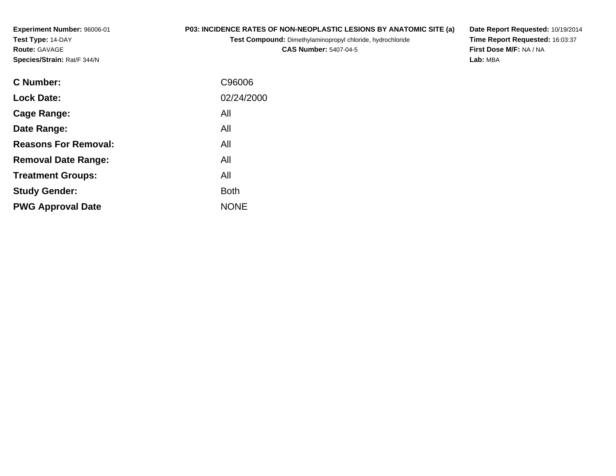**Experiment Number:** 96006-01**Test Type:** 14-DAY**Route:** GAVAGE**Species/Strain:** Rat/F 344/N

## **P03: INCIDENCE RATES OF NON-NEOPLASTIC LESIONS BY ANATOMIC SITE (a)**

**Test Compound:** Dimethylaminopropyl chloride, hydrochloride

**CAS Number:** 5407-04-5

**Date Report Requested:** 10/19/2014 **Time Report Requested:** 16:03:37**First Dose M/F:** NA / NA**Lab:** MBA

| <b>C</b> Number:            | C96006      |
|-----------------------------|-------------|
| <b>Lock Date:</b>           | 02/24/2000  |
| Cage Range:                 | All         |
| Date Range:                 | All         |
| <b>Reasons For Removal:</b> | All         |
| <b>Removal Date Range:</b>  | All         |
| <b>Treatment Groups:</b>    | All         |
| <b>Study Gender:</b>        | <b>Both</b> |
| <b>PWG Approval Date</b>    | <b>NONE</b> |
|                             |             |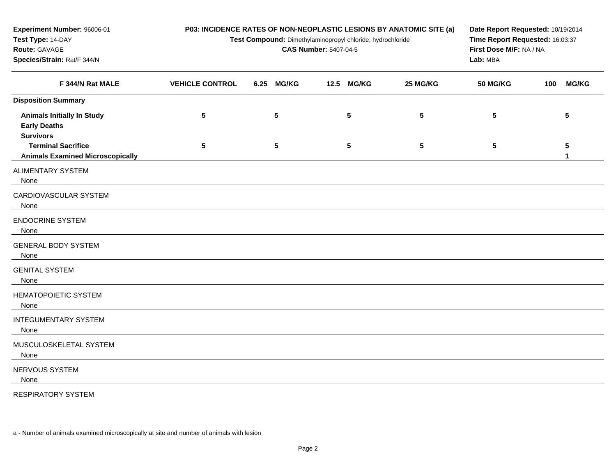| Experiment Number: 96006-01<br>Test Type: 14-DAY<br>Route: GAVAGE<br>Species/Strain: Rat/F 344/N | P03: INCIDENCE RATES OF NON-NEOPLASTIC LESIONS BY ANATOMIC SITE (a)<br>Test Compound: Dimethylaminopropyl chloride, hydrochloride<br><b>CAS Number: 5407-04-5</b> |      |              |      |                 |                 | Date Report Requested: 10/19/2014<br>Time Report Requested: 16:03:37<br>First Dose M/F: NA / NA<br>Lab: MBA |     |                                 |
|--------------------------------------------------------------------------------------------------|-------------------------------------------------------------------------------------------------------------------------------------------------------------------|------|--------------|------|-----------------|-----------------|-------------------------------------------------------------------------------------------------------------|-----|---------------------------------|
| F 344/N Rat MALE                                                                                 | <b>VEHICLE CONTROL</b>                                                                                                                                            | 6.25 | <b>MG/KG</b> | 12.5 | <b>MG/KG</b>    | 25 MG/KG        | <b>50 MG/KG</b>                                                                                             | 100 | <b>MG/KG</b>                    |
| <b>Disposition Summary</b>                                                                       |                                                                                                                                                                   |      |              |      |                 |                 |                                                                                                             |     |                                 |
| <b>Animals Initially In Study</b><br><b>Early Deaths</b>                                         | $\sqrt{5}$                                                                                                                                                        |      | ${\bf 5}$    |      | $5\phantom{.0}$ | $5\phantom{.0}$ | 5                                                                                                           |     | $5\phantom{.0}$                 |
| <b>Survivors</b><br><b>Terminal Sacrifice</b><br><b>Animals Examined Microscopically</b>         | $\sqrt{5}$                                                                                                                                                        |      | $\sqrt{5}$   |      | $5\phantom{.0}$ | $5\phantom{.0}$ | $5\phantom{.0}$                                                                                             |     | $5\phantom{.0}$<br>$\mathbf{1}$ |
| <b>ALIMENTARY SYSTEM</b><br>None                                                                 |                                                                                                                                                                   |      |              |      |                 |                 |                                                                                                             |     |                                 |
| CARDIOVASCULAR SYSTEM<br>None                                                                    |                                                                                                                                                                   |      |              |      |                 |                 |                                                                                                             |     |                                 |
| <b>ENDOCRINE SYSTEM</b><br>None                                                                  |                                                                                                                                                                   |      |              |      |                 |                 |                                                                                                             |     |                                 |
| <b>GENERAL BODY SYSTEM</b><br>None                                                               |                                                                                                                                                                   |      |              |      |                 |                 |                                                                                                             |     |                                 |
| <b>GENITAL SYSTEM</b><br>None                                                                    |                                                                                                                                                                   |      |              |      |                 |                 |                                                                                                             |     |                                 |
| <b>HEMATOPOIETIC SYSTEM</b><br>None                                                              |                                                                                                                                                                   |      |              |      |                 |                 |                                                                                                             |     |                                 |
| <b>INTEGUMENTARY SYSTEM</b><br>None                                                              |                                                                                                                                                                   |      |              |      |                 |                 |                                                                                                             |     |                                 |
| MUSCULOSKELETAL SYSTEM<br>None                                                                   |                                                                                                                                                                   |      |              |      |                 |                 |                                                                                                             |     |                                 |
| NERVOUS SYSTEM<br>None                                                                           |                                                                                                                                                                   |      |              |      |                 |                 |                                                                                                             |     |                                 |

RESPIRATORY SYSTEM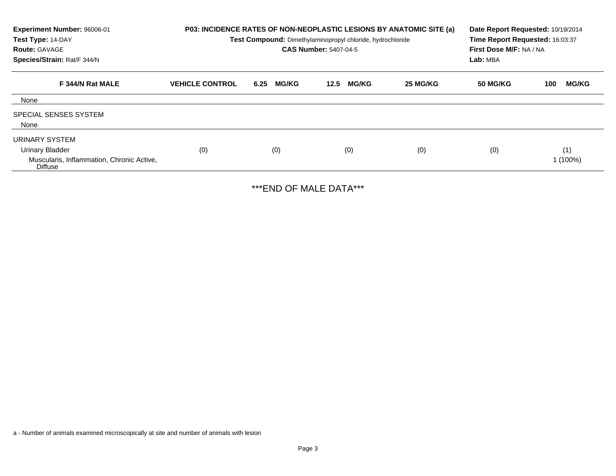| Experiment Number: 96006-01<br>Test Type: 14-DAY<br><b>Route: GAVAGE</b><br>Species/Strain: Rat/F 344/N |                        | P03: INCIDENCE RATES OF NON-NEOPLASTIC LESIONS BY ANATOMIC SITE (a)<br>Test Compound: Dimethylaminopropyl chloride, hydrochloride<br><b>CAS Number: 5407-04-5</b> | Date Report Requested: 10/19/2014<br>Time Report Requested: 16:03:37<br>First Dose M/F: NA / NA<br>Lab: MBA |          |          |                     |
|---------------------------------------------------------------------------------------------------------|------------------------|-------------------------------------------------------------------------------------------------------------------------------------------------------------------|-------------------------------------------------------------------------------------------------------------|----------|----------|---------------------|
| F 344/N Rat MALE                                                                                        | <b>VEHICLE CONTROL</b> | <b>MG/KG</b><br>6.25                                                                                                                                              | <b>MG/KG</b><br>12.5                                                                                        | 25 MG/KG | 50 MG/KG | <b>MG/KG</b><br>100 |
| None                                                                                                    |                        |                                                                                                                                                                   |                                                                                                             |          |          |                     |
| <b>SPECIAL SENSES SYSTEM</b><br>None                                                                    |                        |                                                                                                                                                                   |                                                                                                             |          |          |                     |
| URINARY SYSTEM<br><b>Urinary Bladder</b><br>Muscularis, Inflammation, Chronic Active,<br>Diffuse        | (0)                    | (0)                                                                                                                                                               | (0)                                                                                                         | (0)      | (0)      | (1)<br>1 (100%)     |

\*\*\*END OF MALE DATA\*\*\*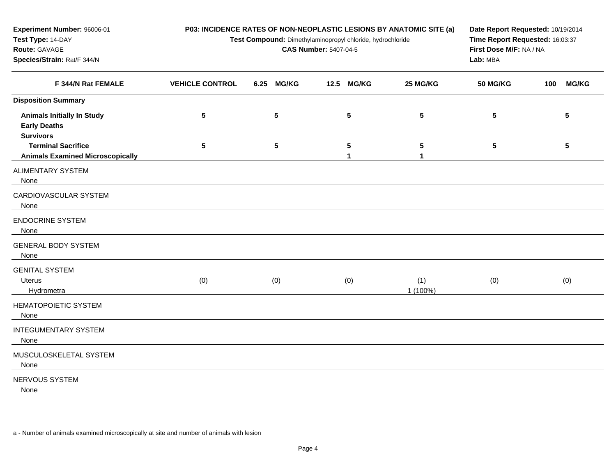| Experiment Number: 96006-01<br>Test Type: 14-DAY<br>Route: GAVAGE<br>Species/Strain: Rat/F 344/N | P03: INCIDENCE RATES OF NON-NEOPLASTIC LESIONS BY ANATOMIC SITE (a)<br>Test Compound: Dimethylaminopropyl chloride, hydrochloride | Date Report Requested: 10/19/2014<br>Time Report Requested: 16:03:37<br>First Dose M/F: NA / NA<br>Lab: MBA |            |                 |                 |                     |
|--------------------------------------------------------------------------------------------------|-----------------------------------------------------------------------------------------------------------------------------------|-------------------------------------------------------------------------------------------------------------|------------|-----------------|-----------------|---------------------|
| F 344/N Rat FEMALE                                                                               | <b>VEHICLE CONTROL</b>                                                                                                            | <b>MG/KG</b><br>6.25                                                                                        | 12.5 MG/KG | 25 MG/KG        | <b>50 MG/KG</b> | <b>MG/KG</b><br>100 |
| <b>Disposition Summary</b>                                                                       |                                                                                                                                   |                                                                                                             |            |                 |                 |                     |
| <b>Animals Initially In Study</b><br><b>Early Deaths</b><br><b>Survivors</b>                     | 5                                                                                                                                 | 5                                                                                                           | 5          | 5               | 5               | 5                   |
| <b>Terminal Sacrifice</b><br><b>Animals Examined Microscopically</b>                             | 5                                                                                                                                 | 5                                                                                                           | 5<br>1     | 5<br>1          | 5               | 5                   |
| ALIMENTARY SYSTEM<br>None                                                                        |                                                                                                                                   |                                                                                                             |            |                 |                 |                     |
| CARDIOVASCULAR SYSTEM<br>None                                                                    |                                                                                                                                   |                                                                                                             |            |                 |                 |                     |
| <b>ENDOCRINE SYSTEM</b><br>None                                                                  |                                                                                                                                   |                                                                                                             |            |                 |                 |                     |
| <b>GENERAL BODY SYSTEM</b><br>None                                                               |                                                                                                                                   |                                                                                                             |            |                 |                 |                     |
| <b>GENITAL SYSTEM</b><br><b>Uterus</b><br>Hydrometra                                             | (0)                                                                                                                               | (0)                                                                                                         | (0)        | (1)<br>1 (100%) | (0)             | (0)                 |
| HEMATOPOIETIC SYSTEM<br>None                                                                     |                                                                                                                                   |                                                                                                             |            |                 |                 |                     |
| <b>INTEGUMENTARY SYSTEM</b><br>None                                                              |                                                                                                                                   |                                                                                                             |            |                 |                 |                     |
| MUSCULOSKELETAL SYSTEM<br>None                                                                   |                                                                                                                                   |                                                                                                             |            |                 |                 |                     |
| NERVOUS SYSTEM<br>None                                                                           |                                                                                                                                   |                                                                                                             |            |                 |                 |                     |